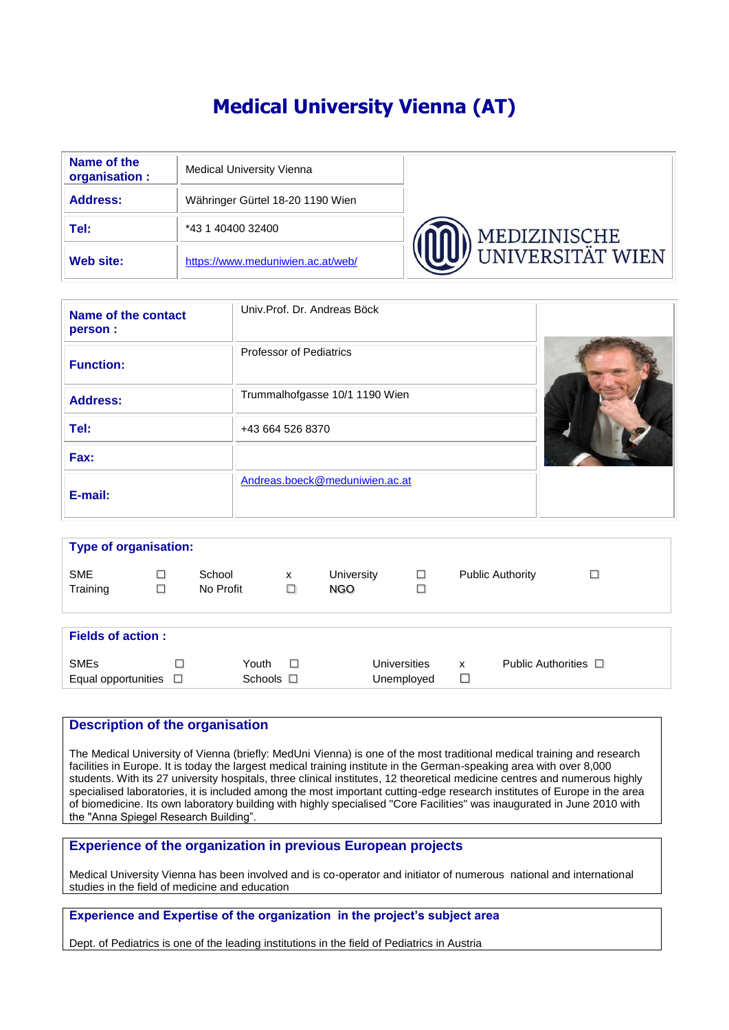# **Medical University Vienna (AT)**

| Name of the<br>organisation : | <b>Medical University Vienna</b>  |                         |
|-------------------------------|-----------------------------------|-------------------------|
| <b>Address:</b>               | Währinger Gürtel 18-20 1190 Wien  |                         |
| Tel:                          | *43 1 40400 32400                 | MEDIZINISCHE            |
| Web site:                     | https://www.meduniwien.ac.at/web/ | <b>UNIVERSITÄT WIEN</b> |

| Name of the contact<br>person : | Univ.Prof. Dr. Andreas Böck    |  |
|---------------------------------|--------------------------------|--|
| <b>Function:</b>                | <b>Professor of Pediatrics</b> |  |
| <b>Address:</b>                 | Trummalhofgasse 10/1 1190 Wien |  |
| Tel:                            | +43 664 526 8370               |  |
| Fax:                            |                                |  |
| E-mail:                         | Andreas.boeck@meduniwien.ac.at |  |

| <b>Type of organisation:</b>                            |        |                            |             |                   |                            |        |                           |        |  |  |  |
|---------------------------------------------------------|--------|----------------------------|-------------|-------------------|----------------------------|--------|---------------------------|--------|--|--|--|
| <b>SME</b><br>Training                                  | $\Box$ | School<br>No Profit        | x<br>$\Box$ | University<br>NGO | $\Box$<br>$\Box$           |        | <b>Public Authority</b>   | $\Box$ |  |  |  |
| <b>Fields of action:</b>                                |        |                            |             |                   |                            |        |                           |        |  |  |  |
| <b>SME<sub>s</sub></b><br>Equal opportunities $\square$ | □      | Youth<br>Schools $\square$ | $\Box$      |                   | Universities<br>Unemployed | x<br>⊔ | Public Authorities $\Box$ |        |  |  |  |

#### **Description of the organisation**

The Medical University of Vienna (briefly: MedUni Vienna) is one of the most traditional medical training and research facilities in Europe. It is today the largest medical training institute in the German-speaking area with over 8,000 students. With its 27 university hospitals, three clinical institutes, 12 theoretical medicine centres and numerous highly specialised laboratories, it is included among the most important cutting-edge research institutes of Europe in the area of biomedicine. Its own laboratory building with highly specialised "Core Facilities" was inaugurated in June 2010 with the "Anna Spiegel Research Building".

## **Experience of the organization in previous European projects**

Medical University Vienna has been involved and is co-operator and initiator of numerous national and international studies in the field of medicine and education

## **Experience and Expertise of the organization in the project's subject area**

Dept. of Pediatrics is one of the leading institutions in the field of Pediatrics in Austria